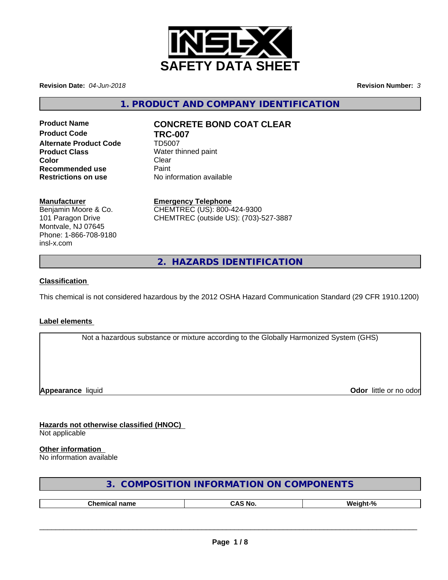

**Revision Date:** *04-Jun-2018* **Revision Number:** *3*

**1. PRODUCT AND COMPANY IDENTIFICATION**

**Product Code TRC-007 Alternate Product Code** TD5007 **Product Class** Water thinned paint **Color** Clear Clear **Recommended use** Paint<br> **Restrictions on use No information available Restrictions on use** 

# **Product Name CONCRETE BOND COAT CLEAR**

## **Manufacturer**

Benjamin Moore & Co. 101 Paragon Drive Montvale, NJ 07645 Phone: 1-866-708-9180 insl-x.com

**Emergency Telephone** CHEMTREC (US): 800-424-9300 CHEMTREC (outside US): (703)-527-3887

**2. HAZARDS IDENTIFICATION**

## **Classification**

This chemical is not considered hazardous by the 2012 OSHA Hazard Communication Standard (29 CFR 1910.1200)

#### **Label elements**

Not a hazardous substance or mixture according to the Globally Harmonized System (GHS)

**Appearance** liquid

**Odor** little or no odor

**Hazards not otherwise classified (HNOC)** Not applicable

## **Other information**

No information available

| 3. COMPOSITION INFORMATION ON COMPONENTS |  |
|------------------------------------------|--|
|------------------------------------------|--|

| --<br> | N6 |  |
|--------|----|--|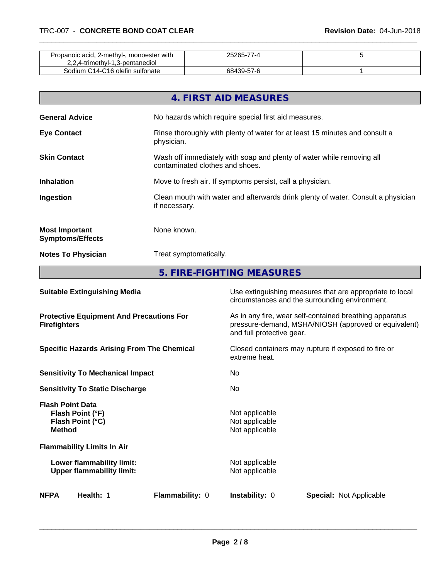| Propanoic acid, 2-methyl-, monoester with<br>2,2,4-trimethyl-1,3-pentanediol | 25265-77-4 |  |
|------------------------------------------------------------------------------|------------|--|
| Sodium C14-C16 olefin sulfonate                                              | 68439-57-6 |  |

|                                                  | 4. FIRST AID MEASURES                                                                                    |
|--------------------------------------------------|----------------------------------------------------------------------------------------------------------|
| <b>General Advice</b>                            | No hazards which require special first aid measures.                                                     |
| <b>Eye Contact</b>                               | Rinse thoroughly with plenty of water for at least 15 minutes and consult a<br>physician.                |
| <b>Skin Contact</b>                              | Wash off immediately with soap and plenty of water while removing all<br>contaminated clothes and shoes. |
| <b>Inhalation</b>                                | Move to fresh air. If symptoms persist, call a physician.                                                |
| Ingestion                                        | Clean mouth with water and afterwards drink plenty of water. Consult a physician<br>if necessary.        |
| <b>Most Important</b><br><b>Symptoms/Effects</b> | None known.                                                                                              |
| <b>Notes To Physician</b>                        | Treat symptomatically.                                                                                   |
|                                                  | 5. FIRE-FIGHTING MEASURES                                                                                |

| <b>Suitable Extinguishing Media</b>                                              | Use extinguishing measures that are appropriate to local<br>circumstances and the surrounding environment.                                   |
|----------------------------------------------------------------------------------|----------------------------------------------------------------------------------------------------------------------------------------------|
| <b>Protective Equipment And Precautions For</b><br><b>Firefighters</b>           | As in any fire, wear self-contained breathing apparatus<br>pressure-demand, MSHA/NIOSH (approved or equivalent)<br>and full protective gear. |
| <b>Specific Hazards Arising From The Chemical</b>                                | Closed containers may rupture if exposed to fire or<br>extreme heat.                                                                         |
| <b>Sensitivity To Mechanical Impact</b>                                          | No.                                                                                                                                          |
| <b>Sensitivity To Static Discharge</b>                                           | No.                                                                                                                                          |
| <b>Flash Point Data</b><br>Flash Point (°F)<br>Flash Point (°C)<br><b>Method</b> | Not applicable<br>Not applicable<br>Not applicable                                                                                           |
| <b>Flammability Limits In Air</b>                                                |                                                                                                                                              |
| Lower flammability limit:<br><b>Upper flammability limit:</b>                    | Not applicable<br>Not applicable                                                                                                             |
| <b>NFPA</b><br>Health: 1<br><b>Flammability: 0</b>                               | <b>Instability: 0</b><br><b>Special: Not Applicable</b>                                                                                      |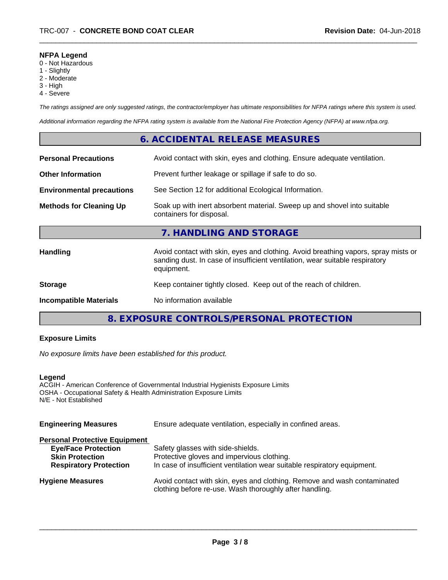## **NFPA Legend**

- 0 Not Hazardous
- 1 Slightly
- 2 Moderate
- 3 High
- 4 Severe

*The ratings assigned are only suggested ratings, the contractor/employer has ultimate responsibilities for NFPA ratings where this system is used.*

*Additional information regarding the NFPA rating system is available from the National Fire Protection Agency (NFPA) at www.nfpa.org.*

## **6. ACCIDENTAL RELEASE MEASURES**

| <b>Personal Precautions</b>      | Avoid contact with skin, eyes and clothing. Ensure adequate ventilation.                                                                                                         |
|----------------------------------|----------------------------------------------------------------------------------------------------------------------------------------------------------------------------------|
| <b>Other Information</b>         | Prevent further leakage or spillage if safe to do so.                                                                                                                            |
| <b>Environmental precautions</b> | See Section 12 for additional Ecological Information.                                                                                                                            |
| <b>Methods for Cleaning Up</b>   | Soak up with inert absorbent material. Sweep up and shovel into suitable<br>containers for disposal.                                                                             |
|                                  | 7. HANDLING AND STORAGE                                                                                                                                                          |
| <b>Handling</b>                  | Avoid contact with skin, eyes and clothing. Avoid breathing vapors, spray mists or<br>sanding dust. In case of insufficient ventilation, wear suitable respiratory<br>equipment. |
| <b>Storage</b>                   | Keep container tightly closed. Keep out of the reach of children.                                                                                                                |
| <b>Incompatible Materials</b>    | No information available                                                                                                                                                         |
|                                  |                                                                                                                                                                                  |

**8. EXPOSURE CONTROLS/PERSONAL PROTECTION**

## **Exposure Limits**

*No exposure limits have been established for this product.*

#### **Legend**

ACGIH - American Conference of Governmental Industrial Hygienists Exposure Limits OSHA - Occupational Safety & Health Administration Exposure Limits N/E - Not Established

| Ensure adequate ventilation, especially in confined areas.                                                                          |  |
|-------------------------------------------------------------------------------------------------------------------------------------|--|
|                                                                                                                                     |  |
| Safety glasses with side-shields.                                                                                                   |  |
| Protective gloves and impervious clothing.                                                                                          |  |
| In case of insufficient ventilation wear suitable respiratory equipment.                                                            |  |
| Avoid contact with skin, eyes and clothing. Remove and wash contaminated<br>clothing before re-use. Wash thoroughly after handling. |  |
|                                                                                                                                     |  |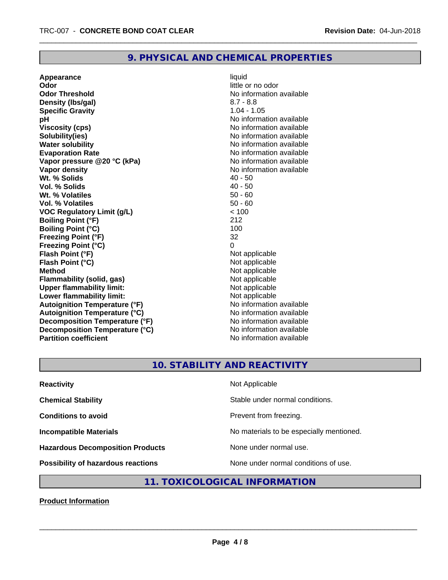## **9. PHYSICAL AND CHEMICAL PROPERTIES**

**Appearance** liquid **Odor** little or no odor **Odor Threshold No information available No information available Density (lbs/gal)** 8.7 - 8.8 **Specific Gravity** 1.04 - 1.05 **pH** No information available **Viscosity (cps)** No information available Notice 1, 1999 **Solubility(ies)** No information available **Water solubility Water solubility Water solubility Water solubility Water solubility Water solution Evaporation Rate No information available No information available Vapor pressure @20 °C (kPa)** No information available **Vapor density Vapor density No information available Wt. % Solids** 40 - 50<br> **Vol. % Solids** 40 - 50 **Vol. % Solids Wt. % Volatiles** 50 - 60 **Vol. % Volatiles** 50 - 60 **VOC Regulatory Limit (g/L)**  $\le$  100<br> **Boiling Point (°F)** 212 **Boiling Point (°F) Boiling Point (°C)** 100 **Freezing Point (°F)** 32 **Freezing Point (°C)**<br> **Flash Point (°F)**<br> **Flash Point (°F)**<br> **Point (°F) Flash Point (°F)**<br> **Flash Point (°C)**<br> **Flash Point (°C)**<br> **C Flash Point (°C) Method** Not applicable<br> **Flammability (solid, gas)** Not applicable Not applicable **Flammability (solid, gas)**<br> **Upper flammability limit:**<br>
Upper flammability limit: **Upper flammability limit: Lower flammability limit:**<br> **Autoignition Temperature (°F)** Not applicable Not applicable **Autoignition Temperature (°F)**<br> **Autoignition Temperature (°C)** No information available **Autoignition Temperature (°C) Decomposition Temperature (°F)**<br> **Decomposition Temperature (°C)** No information available **Decomposition Temperature (°C)**<br>Partition coefficient

**No information available** 

## **10. STABILITY AND REACTIVITY**

| <b>Reactivity</b>                         | Not Applicable                           |
|-------------------------------------------|------------------------------------------|
| <b>Chemical Stability</b>                 | Stable under normal conditions.          |
| <b>Conditions to avoid</b>                | Prevent from freezing.                   |
| <b>Incompatible Materials</b>             | No materials to be especially mentioned. |
| <b>Hazardous Decomposition Products</b>   | None under normal use.                   |
| <b>Possibility of hazardous reactions</b> | None under normal conditions of use.     |

# **11. TOXICOLOGICAL INFORMATION**

**Product Information**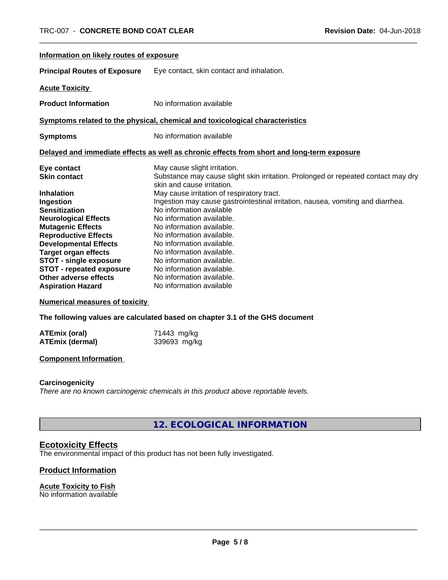| Information on likely routes of exposure                                                   |                                                                                                                   |  |
|--------------------------------------------------------------------------------------------|-------------------------------------------------------------------------------------------------------------------|--|
| <b>Principal Routes of Exposure</b>                                                        | Eye contact, skin contact and inhalation.                                                                         |  |
| <b>Acute Toxicity</b>                                                                      |                                                                                                                   |  |
| <b>Product Information</b>                                                                 | No information available                                                                                          |  |
| Symptoms related to the physical, chemical and toxicological characteristics               |                                                                                                                   |  |
| <b>Symptoms</b>                                                                            | No information available                                                                                          |  |
| Delayed and immediate effects as well as chronic effects from short and long-term exposure |                                                                                                                   |  |
| Eye contact<br><b>Skin contact</b>                                                         | May cause slight irritation.<br>Substance may cause slight skin irritation. Prolonged or repeated contact may dry |  |
| <b>Inhalation</b>                                                                          | skin and cause irritation.<br>May cause irritation of respiratory tract.                                          |  |
| Ingestion<br><b>Sensitization</b>                                                          | Ingestion may cause gastrointestinal irritation, nausea, vomiting and diarrhea.<br>No information available       |  |
| <b>Neurological Effects</b><br><b>Mutagenic Effects</b>                                    | No information available.<br>No information available.                                                            |  |
| <b>Reproductive Effects</b><br><b>Developmental Effects</b>                                | No information available.<br>No information available.                                                            |  |
| <b>Target organ effects</b><br><b>STOT - single exposure</b>                               | No information available.<br>No information available.                                                            |  |
| <b>STOT - repeated exposure</b>                                                            | No information available.                                                                                         |  |
| Other adverse effects<br><b>Aspiration Hazard</b>                                          | No information available.<br>No information available                                                             |  |

**Numerical measures of toxicity**

**The following values are calculated based on chapter 3.1 of the GHS document**

| <b>ATEmix (oral)</b> | 71443 mg/kg  |
|----------------------|--------------|
| ATEmix (dermal)      | 339693 mg/kg |

## **Component Information**

#### **Carcinogenicity**

*There are no known carcinogenic chemicals in this product above reportable levels.*

**12. ECOLOGICAL INFORMATION**

## **Ecotoxicity Effects**

The environmental impact of this product has not been fully investigated.

## **Product Information**

#### **Acute Toxicity to Fish**

No information available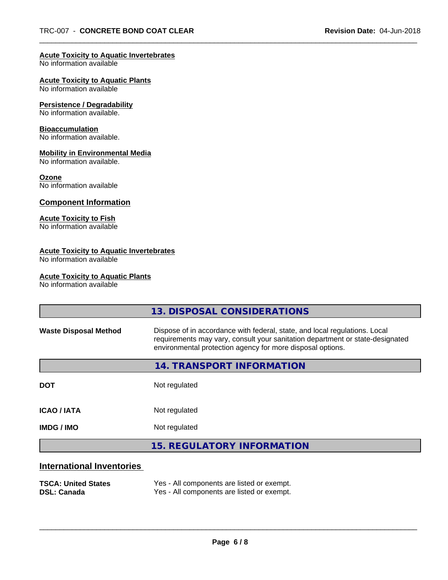#### **Acute Toxicity to Aquatic Invertebrates**

No information available

## **Acute Toxicity to Aquatic Plants**

No information available

#### **Persistence / Degradability**

No information available.

#### **Bioaccumulation**

No information available.

#### **Mobility in Environmental Media**

No information available.

#### **Ozone**

No information available

## **Component Information**

## **Acute Toxicity to Fish**

No information available

## **Acute Toxicity to Aquatic Invertebrates**

No information available

#### **Acute Toxicity to Aquatic Plants**

No information available

|                              | 13. DISPOSAL CONSIDERATIONS                                                                                                                                                                                               |
|------------------------------|---------------------------------------------------------------------------------------------------------------------------------------------------------------------------------------------------------------------------|
| <b>Waste Disposal Method</b> | Dispose of in accordance with federal, state, and local regulations. Local<br>requirements may vary, consult your sanitation department or state-designated<br>environmental protection agency for more disposal options. |
|                              | <b>14. TRANSPORT INFORMATION</b>                                                                                                                                                                                          |
| <b>DOT</b>                   | Not regulated                                                                                                                                                                                                             |
| <b>ICAO / IATA</b>           | Not regulated                                                                                                                                                                                                             |
| <b>IMDG/IMO</b>              | Not regulated                                                                                                                                                                                                             |
|                              | <b>15. REGULATORY INFORMATION</b>                                                                                                                                                                                         |
| International Inventorias    |                                                                                                                                                                                                                           |

# **International Inventories**

| <b>TSCA: United States</b> | Yes - All components are listed or exempt. |
|----------------------------|--------------------------------------------|
| <b>DSL: Canada</b>         | Yes - All components are listed or exempt. |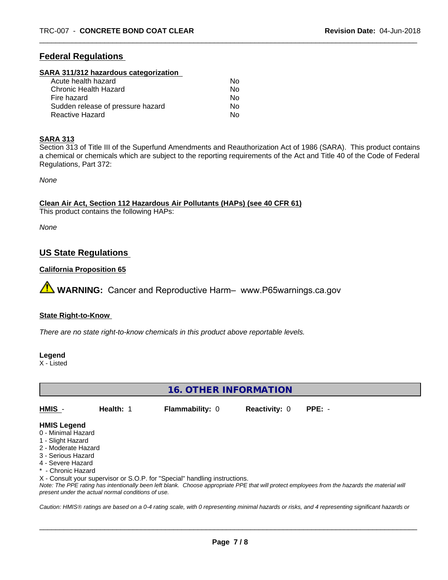## **Federal Regulations**

#### **SARA 311/312 hazardous categorization**

| Acute health hazard               | Nο |
|-----------------------------------|----|
| Chronic Health Hazard             | Nο |
| Fire hazard                       | Nο |
| Sudden release of pressure hazard | Nο |
| Reactive Hazard                   | Nο |

#### **SARA 313**

Section 313 of Title III of the Superfund Amendments and Reauthorization Act of 1986 (SARA). This product contains a chemical or chemicals which are subject to the reporting requirements of the Act and Title 40 of the Code of Federal Regulations, Part 372:

*None*

#### **Clean Air Act,Section 112 Hazardous Air Pollutants (HAPs) (see 40 CFR 61)**

This product contains the following HAPs:

*None*

## **US State Regulations**

#### **California Proposition 65**

**AVIMARNING:** Cancer and Reproductive Harm– www.P65warnings.ca.gov

#### **State Right-to-Know**

*There are no state right-to-know chemicals in this product above reportable levels.*

**Legend**

X - Listed

## **16. OTHER INFORMATION**

**HMIS** - **Health:** 1 **Flammability:** 0 **Reactivity:** 0 **PPE:** -

 $\overline{\phantom{a}}$  ,  $\overline{\phantom{a}}$  ,  $\overline{\phantom{a}}$  ,  $\overline{\phantom{a}}$  ,  $\overline{\phantom{a}}$  ,  $\overline{\phantom{a}}$  ,  $\overline{\phantom{a}}$  ,  $\overline{\phantom{a}}$  ,  $\overline{\phantom{a}}$  ,  $\overline{\phantom{a}}$  ,  $\overline{\phantom{a}}$  ,  $\overline{\phantom{a}}$  ,  $\overline{\phantom{a}}$  ,  $\overline{\phantom{a}}$  ,  $\overline{\phantom{a}}$  ,  $\overline{\phantom{a}}$ 

#### **HMIS Legend**

- 0 Minimal Hazard
- 1 Slight Hazard
- 2 Moderate Hazard
- 3 Serious Hazard
- 4 Severe Hazard
- Chronic Hazard
- X Consult your supervisor or S.O.P. for "Special" handling instructions.

*Note: The PPE rating has intentionally been left blank. Choose appropriate PPE that will protect employees from the hazards the material will present under the actual normal conditions of use.*

*Caution: HMISÒ ratings are based on a 0-4 rating scale, with 0 representing minimal hazards or risks, and 4 representing significant hazards or*